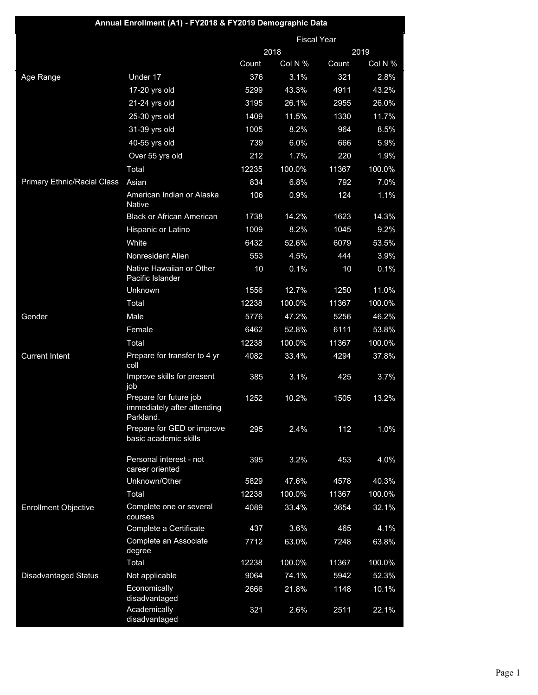| Annual Enrollment (A1) - FY2018 & FY2019 Demographic Data |                                                                    |       |         |                    |         |
|-----------------------------------------------------------|--------------------------------------------------------------------|-------|---------|--------------------|---------|
|                                                           |                                                                    |       |         | <b>Fiscal Year</b> |         |
|                                                           |                                                                    |       | 2018    |                    | 2019    |
|                                                           |                                                                    | Count | Col N % | Count              | Col N % |
| Age Range                                                 | Under 17                                                           | 376   | 3.1%    | 321                | 2.8%    |
|                                                           | 17-20 yrs old                                                      | 5299  | 43.3%   | 4911               | 43.2%   |
|                                                           | 21-24 yrs old                                                      | 3195  | 26.1%   | 2955               | 26.0%   |
|                                                           | 25-30 yrs old                                                      | 1409  | 11.5%   | 1330               | 11.7%   |
|                                                           | 31-39 yrs old                                                      | 1005  | 8.2%    | 964                | 8.5%    |
|                                                           | 40-55 yrs old                                                      | 739   | 6.0%    | 666                | 5.9%    |
|                                                           | Over 55 yrs old                                                    | 212   | 1.7%    | 220                | 1.9%    |
|                                                           | Total                                                              | 12235 | 100.0%  | 11367              | 100.0%  |
| <b>Primary Ethnic/Racial Class</b>                        | Asian                                                              | 834   | 6.8%    | 792                | 7.0%    |
|                                                           | American Indian or Alaska<br><b>Native</b>                         | 106   | 0.9%    | 124                | 1.1%    |
|                                                           | <b>Black or African American</b>                                   | 1738  | 14.2%   | 1623               | 14.3%   |
|                                                           | Hispanic or Latino                                                 | 1009  | 8.2%    | 1045               | 9.2%    |
|                                                           | White                                                              | 6432  | 52.6%   | 6079               | 53.5%   |
|                                                           | Nonresident Alien                                                  | 553   | 4.5%    | 444                | 3.9%    |
|                                                           | Native Hawaiian or Other<br>Pacific Islander                       | 10    | 0.1%    | 10                 | 0.1%    |
|                                                           | Unknown                                                            | 1556  | 12.7%   | 1250               | 11.0%   |
|                                                           | Total                                                              | 12238 | 100.0%  | 11367              | 100.0%  |
| Gender                                                    | Male                                                               | 5776  | 47.2%   | 5256               | 46.2%   |
|                                                           | Female                                                             | 6462  | 52.8%   | 6111               | 53.8%   |
|                                                           | Total                                                              | 12238 | 100.0%  | 11367              | 100.0%  |
| <b>Current Intent</b>                                     | Prepare for transfer to 4 yr<br>coll                               | 4082  | 33.4%   | 4294               | 37.8%   |
|                                                           | Improve skills for present<br>job                                  | 385   | 3.1%    | 425                | 3.7%    |
|                                                           | Prepare for future job<br>immediately after attending<br>Parkland. | 1252  | 10.2%   | 1505               | 13.2%   |
|                                                           | Prepare for GED or improve<br>basic academic skills                | 295   | 2.4%    | 112                | 1.0%    |
|                                                           | Personal interest - not<br>career oriented                         | 395   | 3.2%    | 453                | 4.0%    |
|                                                           | Unknown/Other                                                      | 5829  | 47.6%   | 4578               | 40.3%   |
|                                                           | Total                                                              | 12238 | 100.0%  | 11367              | 100.0%  |
| <b>Enrollment Objective</b>                               | Complete one or several<br>courses                                 | 4089  | 33.4%   | 3654               | 32.1%   |
|                                                           | Complete a Certificate                                             | 437   | 3.6%    | 465                | 4.1%    |
|                                                           | Complete an Associate<br>degree                                    | 7712  | 63.0%   | 7248               | 63.8%   |
|                                                           | Total                                                              | 12238 | 100.0%  | 11367              | 100.0%  |
| <b>Disadvantaged Status</b>                               | Not applicable                                                     | 9064  | 74.1%   | 5942               | 52.3%   |
|                                                           | Economically<br>disadvantaged                                      | 2666  | 21.8%   | 1148               | 10.1%   |
|                                                           | Academically<br>disadvantaged                                      | 321   | 2.6%    | 2511               | 22.1%   |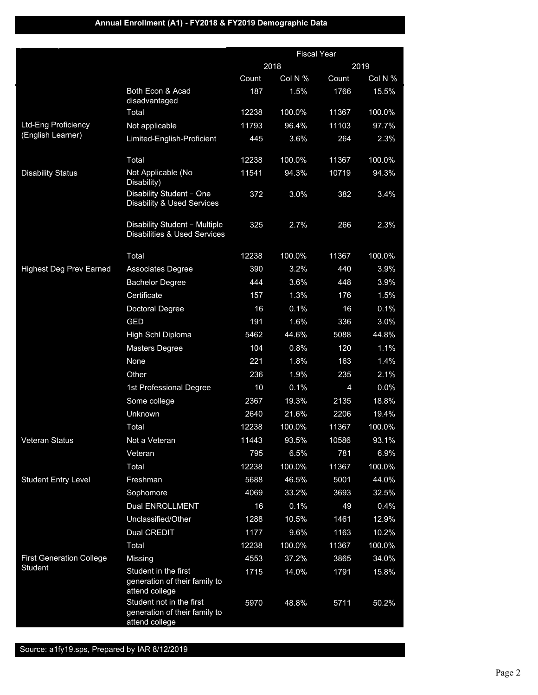## **Annual Enrollment (A1) - FY2018 & FY2019 Demographic Data**

|                                 |                                                                             | <b>Fiscal Year</b> |         |                |         |
|---------------------------------|-----------------------------------------------------------------------------|--------------------|---------|----------------|---------|
|                                 |                                                                             |                    | 2018    |                | 2019    |
|                                 |                                                                             | Count              | Col N % | Count          | Col N % |
|                                 | Both Econ & Acad<br>disadvantaged                                           | 187                | 1.5%    | 1766           | 15.5%   |
|                                 | Total                                                                       | 12238              | 100.0%  | 11367          | 100.0%  |
| Ltd-Eng Proficiency             | Not applicable                                                              | 11793              | 96.4%   | 11103          | 97.7%   |
| (English Learner)               | Limited-English-Proficient                                                  | 445                | 3.6%    | 264            | 2.3%    |
|                                 | Total                                                                       | 12238              | 100.0%  | 11367          | 100.0%  |
| <b>Disability Status</b>        | Not Applicable (No<br>Disability)                                           | 11541              | 94.3%   | 10719          | 94.3%   |
|                                 | Disability Student - One<br><b>Disability &amp; Used Services</b>           | 372                | 3.0%    | 382            | 3.4%    |
|                                 | Disability Student - Multiple<br><b>Disabilities &amp; Used Services</b>    | 325                | 2.7%    | 266            | 2.3%    |
|                                 | Total                                                                       | 12238              | 100.0%  | 11367          | 100.0%  |
| <b>Highest Deg Prev Earned</b>  | Associates Degree                                                           | 390                | 3.2%    | 440            | 3.9%    |
|                                 | <b>Bachelor Degree</b>                                                      | 444                | 3.6%    | 448            | 3.9%    |
|                                 | Certificate                                                                 | 157                | 1.3%    | 176            | 1.5%    |
|                                 | Doctoral Degree                                                             | 16                 | 0.1%    | 16             | 0.1%    |
|                                 | <b>GED</b>                                                                  | 191                | 1.6%    | 336            | 3.0%    |
|                                 | High Schl Diploma                                                           | 5462               | 44.6%   | 5088           | 44.8%   |
|                                 | Masters Degree                                                              | 104                | 0.8%    | 120            | 1.1%    |
|                                 | None                                                                        | 221                | 1.8%    | 163            | 1.4%    |
|                                 | Other                                                                       | 236                | 1.9%    | 235            | 2.1%    |
|                                 | 1st Professional Degree                                                     | 10                 | 0.1%    | $\overline{4}$ | 0.0%    |
|                                 | Some college                                                                | 2367               | 19.3%   | 2135           | 18.8%   |
|                                 | Unknown                                                                     | 2640               | 21.6%   | 2206           | 19.4%   |
|                                 | Total                                                                       | 12238              | 100.0%  | 11367          | 100.0%  |
| Veteran Status                  | Not a Veteran                                                               | 11443              | 93.5%   | 10586          | 93.1%   |
|                                 | Veteran                                                                     | 795                | 6.5%    | 781            | 6.9%    |
|                                 | Total                                                                       | 12238              | 100.0%  | 11367          | 100.0%  |
| <b>Student Entry Level</b>      | Freshman                                                                    | 5688               | 46.5%   | 5001           | 44.0%   |
|                                 | Sophomore                                                                   | 4069               | 33.2%   | 3693           | 32.5%   |
|                                 | <b>Dual ENROLLMENT</b>                                                      | 16                 | 0.1%    | 49             | 0.4%    |
|                                 | Unclassified/Other                                                          | 1288               | 10.5%   | 1461           | 12.9%   |
|                                 | Dual CREDIT                                                                 | 1177               | 9.6%    | 1163           | 10.2%   |
|                                 | Total                                                                       | 12238              | 100.0%  | 11367          | 100.0%  |
| <b>First Generation College</b> | Missing                                                                     | 4553               | 37.2%   | 3865           | 34.0%   |
| Student                         | Student in the first<br>generation of their family to<br>attend college     | 1715               | 14.0%   | 1791           | 15.8%   |
|                                 | Student not in the first<br>generation of their family to<br>attend college | 5970               | 48.8%   | 5711           | 50.2%   |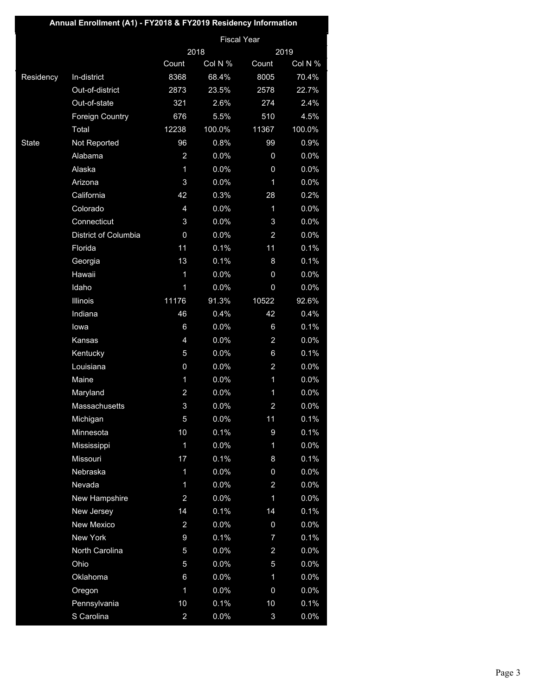| Annual Enrollment (A1) - FY2018 & FY2019 Residency Information |                        |                  |                    |                  |         |
|----------------------------------------------------------------|------------------------|------------------|--------------------|------------------|---------|
|                                                                |                        |                  | <b>Fiscal Year</b> |                  |         |
|                                                                |                        |                  | 2018               | 2019             |         |
|                                                                |                        | Count            | Col N %            | Count            | Col N % |
| Residency                                                      | In-district            | 8368             | 68.4%              | 8005             | 70.4%   |
|                                                                | Out-of-district        | 2873             | 23.5%              | 2578             | 22.7%   |
|                                                                | Out-of-state           | 321              | 2.6%               | 274              | 2.4%    |
|                                                                | <b>Foreign Country</b> | 676              | 5.5%               | 510              | 4.5%    |
|                                                                | Total                  | 12238            | 100.0%             | 11367            | 100.0%  |
| <b>State</b>                                                   | Not Reported           | 96               | 0.8%               | 99               | 0.9%    |
|                                                                | Alabama                | $\overline{a}$   | 0.0%               | 0                | 0.0%    |
|                                                                | Alaska                 | $\mathbf{1}$     | 0.0%               | 0                | 0.0%    |
|                                                                | Arizona                | 3                | 0.0%               | 1                | 0.0%    |
|                                                                | California             | 42               | 0.3%               | 28               | 0.2%    |
|                                                                | Colorado               | $\overline{4}$   | 0.0%               | $\mathbf{1}$     | 0.0%    |
|                                                                | Connecticut            | 3                | 0.0%               | 3                | 0.0%    |
|                                                                | District of Columbia   | 0                | 0.0%               | 2                | 0.0%    |
|                                                                | Florida                | 11               | 0.1%               | 11               | 0.1%    |
|                                                                | Georgia                | 13               | 0.1%               | 8                | 0.1%    |
|                                                                | Hawaii                 | 1                | 0.0%               | 0                | 0.0%    |
|                                                                | Idaho                  | 1                | 0.0%               | 0                | 0.0%    |
|                                                                | <b>Illinois</b>        | 11176            | 91.3%              | 10522            | 92.6%   |
|                                                                | Indiana                | 46               | 0.4%               | 42               | 0.4%    |
|                                                                | lowa                   | 6                | 0.0%               | 6                | 0.1%    |
|                                                                | Kansas                 | $\overline{4}$   | 0.0%               | $\overline{a}$   | 0.0%    |
|                                                                | Kentucky               | 5                | 0.0%               | 6                | 0.1%    |
|                                                                | Louisiana              | 0                | 0.0%               | $\overline{a}$   | 0.0%    |
|                                                                | Maine                  | 1                | 0.0%               | 1                | 0.0%    |
|                                                                | Maryland               | $\overline{a}$   | 0.0%               | 1                | 0.0%    |
|                                                                | Massachusetts          | 3                | 0.0%               | $\overline{a}$   | 0.0%    |
|                                                                | Michigan               | 5                | 0.0%               | 11               | 0.1%    |
|                                                                | Minnesota              | 10               | 0.1%               | 9                | 0.1%    |
|                                                                | Mississippi            | $\mathbf 1$      | 0.0%               | $\mathbf{1}$     | 0.0%    |
|                                                                | Missouri               | 17               | 0.1%               | 8                | 0.1%    |
|                                                                | Nebraska               | 1                | 0.0%               | 0                | 0.0%    |
|                                                                | Nevada                 | 1                | 0.0%               | $\overline{a}$   | 0.0%    |
|                                                                | New Hampshire          | $\overline{a}$   | 0.0%               | $\mathbf 1$      | 0.0%    |
|                                                                | New Jersey             | 14               | 0.1%               | 14               | 0.1%    |
|                                                                | New Mexico             | $\overline{a}$   | 0.0%               | 0                | 0.0%    |
|                                                                | <b>New York</b>        | $\boldsymbol{9}$ | 0.1%               | 7                | 0.1%    |
|                                                                | North Carolina         | 5                | 0.0%               | $\overline{a}$   | 0.0%    |
|                                                                | Ohio                   | 5                | 0.0%               | 5                | 0.0%    |
|                                                                | Oklahoma               | 6                | 0.0%               | $\mathbf{1}$     | 0.0%    |
|                                                                | Oregon                 | 1                | 0.0%               | $\boldsymbol{0}$ | 0.0%    |
|                                                                | Pennsylvania           | 10               | 0.1%               | 10               | 0.1%    |
|                                                                | S Carolina             | $\overline{a}$   | 0.0%               | 3                | 0.0%    |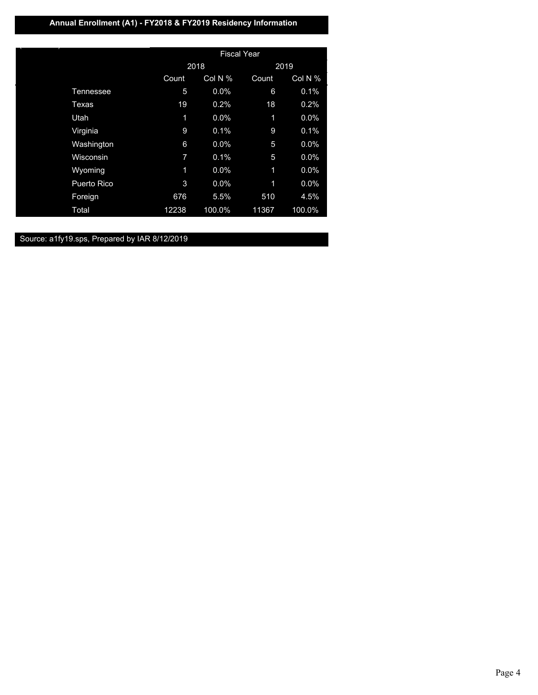## **Annual Enrollment (A1) - FY2018 & FY2019 Residency Information**

|                    | <b>Fiscal Year</b> |         |       |         |  |
|--------------------|--------------------|---------|-------|---------|--|
|                    |                    | 2018    |       | 2019    |  |
|                    | Count              | Col N % | Count | Col N % |  |
| Tennessee          | 5                  | 0.0%    | 6     | 0.1%    |  |
| Texas              | 19                 | 0.2%    | 18    | 0.2%    |  |
| Utah               | 1                  | 0.0%    | 1     | 0.0%    |  |
| Virginia           | 9                  | 0.1%    | 9     | 0.1%    |  |
| Washington         | 6                  | 0.0%    | 5     | 0.0%    |  |
| Wisconsin          | 7                  | 0.1%    | 5     | 0.0%    |  |
| Wyoming            | 1                  | 0.0%    | 1     | 0.0%    |  |
| <b>Puerto Rico</b> | 3                  | 0.0%    | 1     | 0.0%    |  |
| Foreign            | 676                | 5.5%    | 510   | 4.5%    |  |
| Total              | 12238              | 100.0%  | 11367 | 100.0%  |  |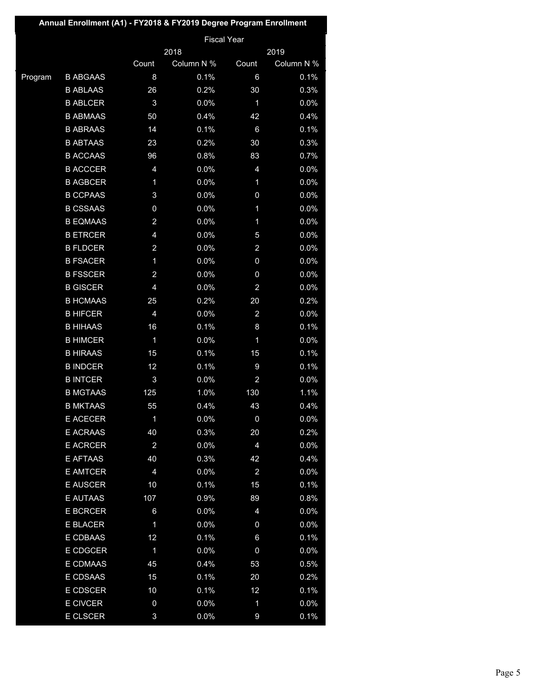|         | Annual Enrollment (A1) - FY2018 & FY2019 Degree Program Enrollment |                         |            |                         |            |
|---------|--------------------------------------------------------------------|-------------------------|------------|-------------------------|------------|
|         |                                                                    |                         |            | <b>Fiscal Year</b>      |            |
|         |                                                                    |                         | 2018       |                         | 2019       |
|         |                                                                    | Count                   | Column N % | Count                   | Column N % |
| Program | <b>B ABGAAS</b>                                                    | 8                       | 0.1%       | 6                       | 0.1%       |
|         | <b>B ABLAAS</b>                                                    | 26                      | 0.2%       | 30                      | 0.3%       |
|         | <b>B ABLCER</b>                                                    | 3                       | 0.0%       | 1                       | 0.0%       |
|         | <b>B ABMAAS</b>                                                    | 50                      | 0.4%       | 42                      | 0.4%       |
|         | <b>B ABRAAS</b>                                                    | 14                      | 0.1%       | 6                       | 0.1%       |
|         | <b>B ABTAAS</b>                                                    | 23                      | 0.2%       | 30                      | 0.3%       |
|         | <b>B ACCAAS</b>                                                    | 96                      | 0.8%       | 83                      | 0.7%       |
|         | <b>B ACCCER</b>                                                    | 4                       | 0.0%       | 4                       | 0.0%       |
|         | <b>B AGBCER</b>                                                    | 1                       | 0.0%       | 1                       | 0.0%       |
|         | <b>B CCPAAS</b>                                                    | 3                       | 0.0%       | 0                       | 0.0%       |
|         | <b>B CSSAAS</b>                                                    | 0                       | 0.0%       | 1                       | 0.0%       |
|         | <b>B EQMAAS</b>                                                    | $\overline{\mathbf{c}}$ | 0.0%       | 1                       | 0.0%       |
|         | <b>B ETRCER</b>                                                    | 4                       | 0.0%       | 5                       | 0.0%       |
|         | <b>B FLDCER</b>                                                    | $\overline{a}$          | 0.0%       | $\overline{\mathbf{c}}$ | 0.0%       |
|         | <b>B FSACER</b>                                                    | $\mathbf{1}$            | 0.0%       | 0                       | 0.0%       |
|         | <b>B FSSCER</b>                                                    | $\overline{\mathbf{c}}$ | 0.0%       | 0                       | 0.0%       |
|         | <b>B GISCER</b>                                                    | $\overline{4}$          | 0.0%       | $\overline{\mathbf{c}}$ | 0.0%       |
|         | <b>B HCMAAS</b>                                                    | 25                      | 0.2%       | 20                      | 0.2%       |
|         | <b>B HIFCER</b>                                                    | $\overline{4}$          | 0.0%       | $\overline{a}$          | 0.0%       |
|         | <b>B HIHAAS</b>                                                    | 16                      | 0.1%       | 8                       | 0.1%       |
|         | <b>B HIMCER</b>                                                    | $\mathbf 1$             | 0.0%       | 1                       | 0.0%       |
|         | <b>B HIRAAS</b>                                                    | 15                      | 0.1%       | 15                      | 0.1%       |
|         | <b>B INDCER</b>                                                    | 12                      | 0.1%       | 9                       | 0.1%       |
|         | <b>B INTCER</b>                                                    | 3                       | 0.0%       | $\overline{\mathbf{c}}$ | 0.0%       |
|         | <b>B MGTAAS</b>                                                    | 125                     | 1.0%       | 130                     | 1.1%       |
|         | <b>B MKTAAS</b>                                                    | 55                      | 0.4%       | 43                      | 0.4%       |
|         | E ACECER                                                           | $\mathbf 1$             | 0.0%       | $\pmb{0}$               | 0.0%       |
|         | <b>E ACRAAS</b>                                                    | 40                      | 0.3%       | 20                      | 0.2%       |
|         | <b>E ACRCER</b>                                                    | $\overline{\mathbf{c}}$ | 0.0%       | 4                       | 0.0%       |
|         | E AFTAAS                                                           | 40                      | 0.3%       | 42                      | 0.4%       |
|         | E AMTCER                                                           | $\overline{4}$          | 0.0%       | $\overline{a}$          | 0.0%       |
|         | <b>E AUSCER</b>                                                    | 10                      | 0.1%       | 15                      | 0.1%       |
|         | E AUTAAS                                                           | 107                     | 0.9%       | 89                      | 0.8%       |
|         | <b>E BCRCER</b>                                                    | $\boldsymbol{6}$        | 0.0%       | 4                       | 0.0%       |
|         | E BLACER                                                           | 1                       | 0.0%       | 0                       | 0.0%       |
|         | E CDBAAS                                                           | 12                      | 0.1%       | 6                       | 0.1%       |
|         | E CDGCER                                                           | $\mathbf 1$             | 0.0%       | $\pmb{0}$               | 0.0%       |
|         | E CDMAAS                                                           | 45                      | 0.4%       | 53                      | 0.5%       |
|         | E CDSAAS                                                           | 15                      | 0.1%       | 20                      | 0.2%       |
|         | <b>E CDSCER</b>                                                    | 10                      | 0.1%       | 12                      | 0.1%       |
|         | <b>E CIVCER</b>                                                    | $\pmb{0}$               | 0.0%       | $\mathbf 1$             | 0.0%       |
|         | <b>E CLSCER</b>                                                    | $\mathbf{3}$            | 0.0%       | 9                       | 0.1%       |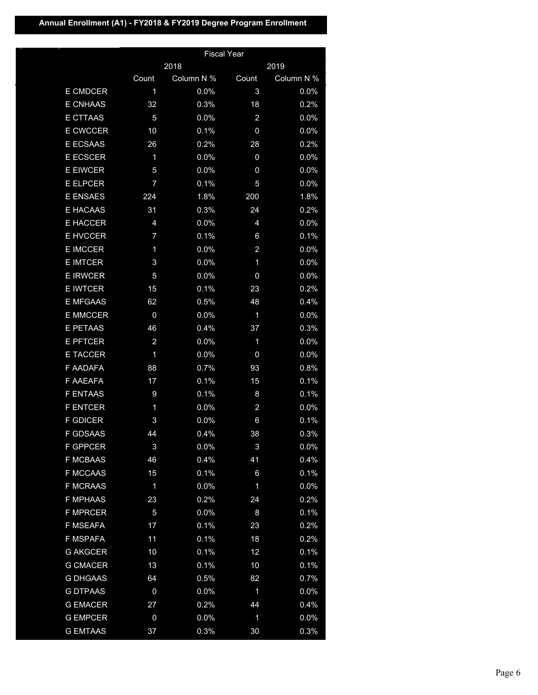# **Annual Enrollment (A1) - FY2018 & FY2019 Degree Program Enrollment**

|                 |                  |            | <b>Fiscal Year</b>      |            |
|-----------------|------------------|------------|-------------------------|------------|
|                 |                  | 2018       |                         | 2019       |
|                 | Count            | Column N % | Count                   | Column N % |
| E CMDCER        | 1                | 0.0%       | 3                       | 0.0%       |
| <b>E CNHAAS</b> | 32               | 0.3%       | 18                      | 0.2%       |
| E CTTAAS        | 5                | 0.0%       | $\overline{a}$          | 0.0%       |
| E CWCCER        | 10               | 0.1%       | 0                       | 0.0%       |
| <b>E ECSAAS</b> | 26               | 0.2%       | 28                      | 0.2%       |
| <b>E ECSCER</b> | 1                | 0.0%       | 0                       | 0.0%       |
| <b>E EIWCER</b> | 5                | 0.0%       | 0                       | 0.0%       |
| <b>E ELPCER</b> | $\overline{7}$   | 0.1%       | 5                       | 0.0%       |
| <b>E ENSAES</b> | 224              | 1.8%       | 200                     | 1.8%       |
| E HACAAS        | 31               | 0.3%       | 24                      | 0.2%       |
| <b>E HACCER</b> | 4                | 0.0%       | 4                       | 0.0%       |
| <b>E HVCCER</b> | $\overline{7}$   | 0.1%       | 6                       | 0.1%       |
| <b>E IMCCER</b> | 1                | 0.0%       | $\overline{a}$          | 0.0%       |
| <b>E IMTCER</b> | 3                | 0.0%       | 1                       | 0.0%       |
| <b>E IRWCER</b> | $\overline{5}$   | 0.0%       | 0                       | 0.0%       |
| <b>E IWTCER</b> | 15               | 0.1%       | 23                      | 0.2%       |
| E MFGAAS        | 62               | 0.5%       | 48                      | 0.4%       |
| <b>E MMCCER</b> | $\mathbf 0$      | 0.0%       | $\mathbf 1$             | 0.0%       |
| E PETAAS        | 46               | 0.4%       | 37                      | 0.3%       |
| <b>E PFTCER</b> | $\overline{a}$   | 0.0%       | 1                       | 0.0%       |
| <b>E TACCER</b> | 1                | 0.0%       | 0                       | 0.0%       |
| F AADAFA        | 88               | 0.7%       | 93                      | 0.8%       |
| F AAEAFA        | 17               | 0.1%       | 15                      | 0.1%       |
| <b>F ENTAAS</b> | 9                | 0.1%       | 8                       | 0.1%       |
| <b>F ENTCER</b> | 1                | 0.0%       | $\overline{\mathbf{c}}$ | 0.0%       |
| <b>F GDICER</b> | 3                | 0.0%       | 6                       | 0.1%       |
| <b>F GDSAAS</b> | 44               | 0.4%       | 38                      | 0.3%       |
| <b>F GPPCER</b> | $\sqrt{3}$       | 0.0%       | 3                       | 0.0%       |
| <b>F MCBAAS</b> | 46               | 0.4%       | 41                      | 0.4%       |
| <b>F MCCAAS</b> | 15               | 0.1%       | 6                       | 0.1%       |
| <b>F MCRAAS</b> | $\mathbf 1$      | 0.0%       | 1                       | 0.0%       |
| <b>F MPHAAS</b> | 23               | 0.2%       | 24                      | 0.2%       |
| <b>F MPRCER</b> | 5                | 0.0%       | $\bf 8$                 | 0.1%       |
| F MSEAFA        | 17               | 0.1%       | 23                      | 0.2%       |
| F MSPAFA        | 11               | 0.1%       | 18                      | 0.2%       |
| <b>G AKGCER</b> | 10               | 0.1%       | 12                      | 0.1%       |
| <b>G CMACER</b> | 13               | 0.1%       | 10                      | 0.1%       |
| <b>G DHGAAS</b> | 64               | 0.5%       | 82                      | 0.7%       |
| <b>G DTPAAS</b> | $\boldsymbol{0}$ | 0.0%       | 1                       | 0.0%       |
| <b>G EMACER</b> | 27               | 0.2%       | 44                      | 0.4%       |
| <b>G EMPCER</b> | $\pmb{0}$        | 0.0%       | $\overline{\mathbf{1}}$ | 0.0%       |
| <b>G EMTAAS</b> | 37               | 0.3%       | 30                      | 0.3%       |
|                 |                  |            |                         |            |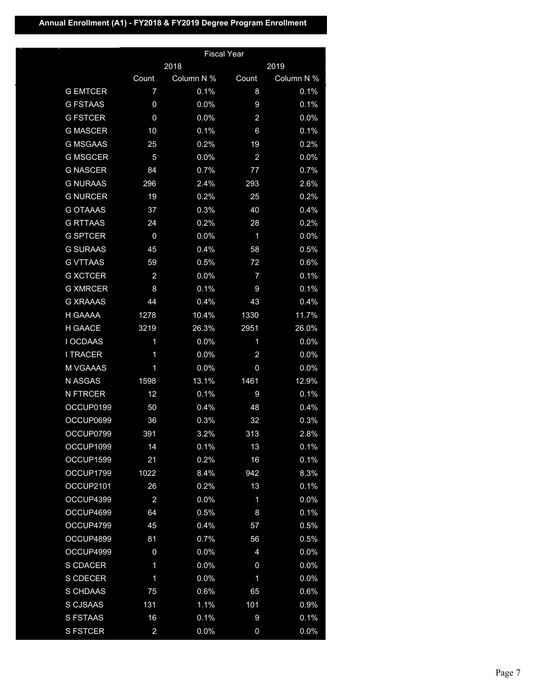# **Annual Enrollment (A1) - FY2018 & FY2019 Degree Program Enrollment**

|                 |                         |            | <b>Fiscal Year</b> |            |
|-----------------|-------------------------|------------|--------------------|------------|
|                 |                         | 2018       |                    | 2019       |
|                 | Count                   | Column N % | Count              | Column N % |
| <b>G EMTCER</b> | $\overline{7}$          | 0.1%       | 8                  | 0.1%       |
| <b>G FSTAAS</b> | 0                       | 0.0%       | 9                  | 0.1%       |
| <b>G FSTCER</b> | $\overline{0}$          | 0.0%       | $\overline{a}$     | 0.0%       |
| <b>G MASCER</b> | 10                      | 0.1%       | 6                  | 0.1%       |
| <b>G MSGAAS</b> | 25                      | 0.2%       | 19                 | 0.2%       |
| <b>G MSGCER</b> | 5                       | 0.0%       | $\overline{a}$     | 0.0%       |
| <b>G NASCER</b> | 84                      | 0.7%       | 77                 | 0.7%       |
| <b>G NURAAS</b> | 296                     | 2.4%       | 293                | 2.6%       |
| <b>G NURCER</b> | 19                      | 0.2%       | 25                 | 0.2%       |
| <b>G OTAAAS</b> | 37                      | 0.3%       | 40                 | 0.4%       |
| <b>G RTTAAS</b> | 24                      | 0.2%       | 28                 | 0.2%       |
| <b>G SPTCER</b> | $\overline{0}$          | 0.0%       | 1                  | 0.0%       |
| <b>G SURAAS</b> | 45                      | 0.4%       | 58                 | 0.5%       |
| <b>G VTTAAS</b> | 59                      | 0.5%       | 72                 | 0.6%       |
| <b>G XCTCER</b> | $\overline{2}$          | 0.0%       | $\overline{7}$     | 0.1%       |
| <b>G XMRCER</b> | 8                       | 0.1%       | 9                  | 0.1%       |
| <b>G XRAAAS</b> | 44                      | 0.4%       | 43                 | 0.4%       |
| H GAAAA         | 1278                    | 10.4%      | 1330               | 11.7%      |
| H GAACE         | 3219                    | 26.3%      | 2951               | 26.0%      |
| I OCDAAS        | 1                       | 0.0%       | 1                  | 0.0%       |
| <b>I TRACER</b> | 1                       | 0.0%       | $\overline{a}$     | 0.0%       |
| <b>M VGAAAS</b> | 1                       | 0.0%       | $\mathbf 0$        | 0.0%       |
| N ASGAS         | 1598                    | 13.1%      | 1461               | 12.9%      |
| <b>N FTRCER</b> | 12                      | 0.1%       | 9                  | 0.1%       |
| OCCUP0199       | 50                      | 0.4%       | 48                 | 0.4%       |
| OCCUP0699       | 36                      | 0.3%       | 32                 | 0.3%       |
| OCCUP0799       | 391                     | 3.2%       | 313                | 2.8%       |
| OCCUP1099       | 14                      | 0.1%       | 13                 | 0.1%       |
| OCCUP1599       | 21                      | 0.2%       | 16                 | 0.1%       |
| OCCUP1799       | 1022                    | 8.4%       | 942                | 8.3%       |
| OCCUP2101       | 26                      | 0.2%       | 13                 | 0.1%       |
| OCCUP4399       | $\overline{a}$          | 0.0%       | $\mathbf 1$        | 0.0%       |
| OCCUP4699       | 64                      | 0.5%       | 8                  | 0.1%       |
| OCCUP4799       | 45                      | 0.4%       | 57                 | 0.5%       |
| OCCUP4899       | 81                      | 0.7%       | 56                 | 0.5%       |
| OCCUP4999       | 0                       | 0.0%       | 4                  | 0.0%       |
| S CDACER        | 1                       | 0.0%       | $\boldsymbol{0}$   | 0.0%       |
| S CDECER        | 1                       | 0.0%       | 1                  | 0.0%       |
| S CHDAAS        | 75                      | 0.6%       | 65                 | 0.6%       |
| S CJSAAS        | 131                     | 1.1%       | 101                | 0.9%       |
| S FSTAAS        | 16                      | 0.1%       | $\boldsymbol{9}$   | 0.1%       |
| <b>S FSTCER</b> | $\overline{\mathbf{c}}$ | 0.0%       | 0                  | 0.0%       |
|                 |                         |            |                    |            |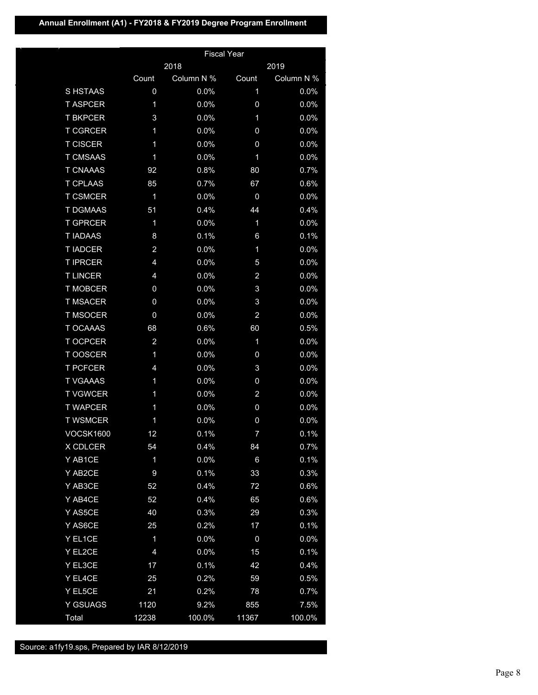## **Annual Enrollment (A1) - FY2018 & FY2019 Degree Program Enrollment**

|                  |                  |            | <b>Fiscal Year</b> |            |
|------------------|------------------|------------|--------------------|------------|
|                  |                  | 2018       |                    | 2019       |
|                  | Count            | Column N % | Count              | Column N % |
| S HSTAAS         | $\overline{0}$   | 0.0%       | 1                  | 0.0%       |
| <b>T ASPCER</b>  | 1                | 0.0%       | 0                  | 0.0%       |
| <b>T BKPCER</b>  | 3                | 0.0%       | 1                  | 0.0%       |
| <b>T CGRCER</b>  | 1                | 0.0%       | 0                  | 0.0%       |
| <b>T CISCER</b>  | 1                | 0.0%       | 0                  | 0.0%       |
| <b>T CMSAAS</b>  | 1                | 0.0%       | 1                  | 0.0%       |
| <b>T CNAAAS</b>  | 92               | 0.8%       | 80                 | 0.7%       |
| <b>T CPLAAS</b>  | 85               | 0.7%       | 67                 | 0.6%       |
| <b>T CSMCER</b>  | 1                | 0.0%       | 0                  | 0.0%       |
| <b>T DGMAAS</b>  | 51               | 0.4%       | 44                 | 0.4%       |
| <b>T GPRCER</b>  | 1                | 0.0%       | 1                  | 0.0%       |
| <b>T IADAAS</b>  | 8                | 0.1%       | 6                  | 0.1%       |
| <b>T IADCER</b>  | $\overline{a}$   | 0.0%       | 1                  | 0.0%       |
| <b>T IPRCER</b>  | $\overline{4}$   | 0.0%       | 5                  | 0.0%       |
| <b>TLINCER</b>   | 4                | 0.0%       | $\overline{a}$     | 0.0%       |
| <b>T MOBCER</b>  | 0                | 0.0%       | 3                  | 0.0%       |
| <b>T MSACER</b>  | 0                | 0.0%       | 3                  | 0.0%       |
| <b>T MSOCER</b>  | 0                | 0.0%       | $\overline{a}$     | 0.0%       |
| <b>T OCAAAS</b>  | 68               | 0.6%       | 60                 | 0.5%       |
| <b>T OCPCER</b>  | $\overline{a}$   | 0.0%       | 1                  | 0.0%       |
| T OOSCER         | 1                | 0.0%       | 0                  | 0.0%       |
| <b>T PCFCER</b>  | 4                | 0.0%       | 3                  | 0.0%       |
| <b>T VGAAAS</b>  | 1                | 0.0%       | 0                  | 0.0%       |
| <b>T VGWCER</b>  | 1                | 0.0%       | $\overline{a}$     | 0.0%       |
| <b>T WAPCER</b>  | 1                | 0.0%       | 0                  | 0.0%       |
| <b>T WSMCER</b>  | 1                | 0.0%       | $\boldsymbol{0}$   | 0.0%       |
| <b>VOCSK1600</b> | 12               | 0.1%       | 7                  | 0.1%       |
| X CDLCER         | 54               | 0.4%       | 84                 | 0.7%       |
| Y AB1CE          | $\mathbf 1$      | 0.0%       | $6\phantom{1}$     | 0.1%       |
| Y AB2CE          | $\boldsymbol{9}$ | 0.1%       | 33                 | 0.3%       |
| Y AB3CE          | 52               | 0.4%       | 72                 | 0.6%       |
| Y AB4CE          | 52               | 0.4%       | 65                 | 0.6%       |
| Y AS5CE          | 40               | 0.3%       | 29                 | 0.3%       |
| Y AS6CE          | 25               | 0.2%       | 17                 | 0.1%       |
| Y EL1CE          | 1                | 0.0%       | 0                  | 0.0%       |
| Y EL2CE          | 4                | 0.0%       | 15                 | 0.1%       |
| Y EL3CE          | 17               | 0.1%       | 42                 | 0.4%       |
| Y EL4CE          | 25               | 0.2%       | 59                 | 0.5%       |
| Y EL5CE          | 21               | 0.2%       | 78                 | 0.7%       |
| Y GSUAGS         | 1120             | 9.2%       | 855                | 7.5%       |
| Total            | 12238            | 100.0%     | 11367              | 100.0%     |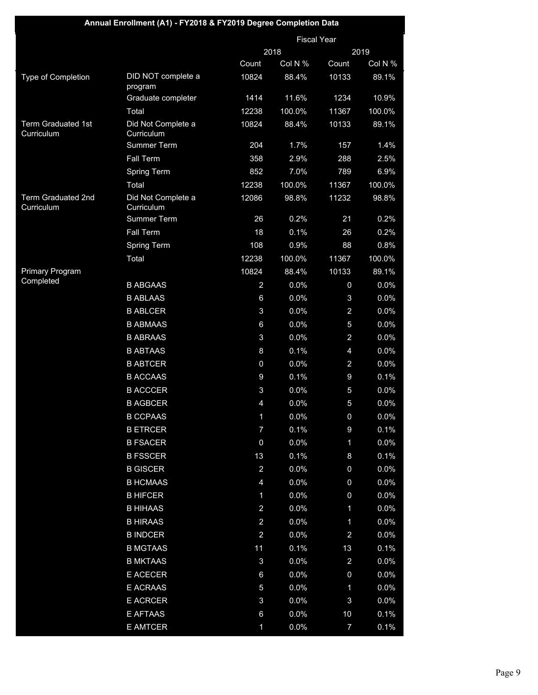| <b>Fiscal Year</b><br>2018<br>2019<br>Col N %<br>Count<br>Count<br>Col N %<br>DID NOT complete a<br>10133<br>Type of Completion<br>10824<br>88.4%<br>89.1%<br>program<br>1234<br>10.9%<br>Graduate completer<br>1414<br>11.6%<br>100.0%<br>Total<br>12238<br>11367<br>100.0%<br>Term Graduated 1st<br>Did Not Complete a<br>10824<br>10133<br>88.4%<br>89.1%<br>Curriculum<br>Curriculum<br>Summer Term<br>204<br>1.7%<br>157<br>1.4%<br><b>Fall Term</b><br>358<br>2.9%<br>288<br>2.5%<br>Spring Term<br>852<br>7.0%<br>789<br>6.9%<br>100.0%<br>100.0%<br>Total<br>12238<br>11367<br>Term Graduated 2nd<br>Did Not Complete a<br>12086<br>11232<br>98.8%<br>98.8%<br>Curriculum<br>Curriculum<br>Summer Term<br>26<br>0.2%<br>0.2%<br>21<br><b>Fall Term</b><br>18<br>0.1%<br>0.2%<br>26<br>108<br>0.8%<br><b>Spring Term</b><br>0.9%<br>88<br>Total<br>12238<br>100.0%<br>100.0%<br>11367<br>Primary Program<br>10824<br>10133<br>88.4%<br>89.1%<br>Completed<br>0.0%<br>0.0%<br><b>B ABGAAS</b><br>$\overline{2}$<br>$\mathbf 0$<br>0.0%<br>0.0%<br><b>B ABLAAS</b><br>6<br>3<br>$\mathbf{3}$<br>0.0%<br>$\overline{a}$<br>0.0%<br><b>B ABLCER</b><br>0.0%<br>$\overline{5}$<br>0.0%<br><b>B ABMAAS</b><br>$6\phantom{.}6$<br>$\overline{a}$<br>0.0%<br><b>B ABRAAS</b><br>3<br>0.0%<br>0.0%<br><b>B ABTAAS</b><br>8<br>0.1%<br>$\overline{4}$<br>0.0%<br>0.0%<br><b>B ABTCER</b><br>$\boldsymbol{0}$<br>$\overline{a}$<br>9<br>9<br>0.1%<br><b>B ACCAAS</b><br>0.1%<br>0.0%<br><b>B ACCCER</b><br>3<br>0.0%<br>5<br>0.0%<br>5<br>0.0%<br><b>B AGBCER</b><br>$\overline{4}$<br>0.0%<br>0.0%<br>$\mathbf 0$ |
|----------------------------------------------------------------------------------------------------------------------------------------------------------------------------------------------------------------------------------------------------------------------------------------------------------------------------------------------------------------------------------------------------------------------------------------------------------------------------------------------------------------------------------------------------------------------------------------------------------------------------------------------------------------------------------------------------------------------------------------------------------------------------------------------------------------------------------------------------------------------------------------------------------------------------------------------------------------------------------------------------------------------------------------------------------------------------------------------------------------------------------------------------------------------------------------------------------------------------------------------------------------------------------------------------------------------------------------------------------------------------------------------------------------------------------------------------------------------------------------------------------------------------------------------------------------------------------------------------------------|
|                                                                                                                                                                                                                                                                                                                                                                                                                                                                                                                                                                                                                                                                                                                                                                                                                                                                                                                                                                                                                                                                                                                                                                                                                                                                                                                                                                                                                                                                                                                                                                                                                |
|                                                                                                                                                                                                                                                                                                                                                                                                                                                                                                                                                                                                                                                                                                                                                                                                                                                                                                                                                                                                                                                                                                                                                                                                                                                                                                                                                                                                                                                                                                                                                                                                                |
|                                                                                                                                                                                                                                                                                                                                                                                                                                                                                                                                                                                                                                                                                                                                                                                                                                                                                                                                                                                                                                                                                                                                                                                                                                                                                                                                                                                                                                                                                                                                                                                                                |
|                                                                                                                                                                                                                                                                                                                                                                                                                                                                                                                                                                                                                                                                                                                                                                                                                                                                                                                                                                                                                                                                                                                                                                                                                                                                                                                                                                                                                                                                                                                                                                                                                |
|                                                                                                                                                                                                                                                                                                                                                                                                                                                                                                                                                                                                                                                                                                                                                                                                                                                                                                                                                                                                                                                                                                                                                                                                                                                                                                                                                                                                                                                                                                                                                                                                                |
|                                                                                                                                                                                                                                                                                                                                                                                                                                                                                                                                                                                                                                                                                                                                                                                                                                                                                                                                                                                                                                                                                                                                                                                                                                                                                                                                                                                                                                                                                                                                                                                                                |
|                                                                                                                                                                                                                                                                                                                                                                                                                                                                                                                                                                                                                                                                                                                                                                                                                                                                                                                                                                                                                                                                                                                                                                                                                                                                                                                                                                                                                                                                                                                                                                                                                |
|                                                                                                                                                                                                                                                                                                                                                                                                                                                                                                                                                                                                                                                                                                                                                                                                                                                                                                                                                                                                                                                                                                                                                                                                                                                                                                                                                                                                                                                                                                                                                                                                                |
|                                                                                                                                                                                                                                                                                                                                                                                                                                                                                                                                                                                                                                                                                                                                                                                                                                                                                                                                                                                                                                                                                                                                                                                                                                                                                                                                                                                                                                                                                                                                                                                                                |
|                                                                                                                                                                                                                                                                                                                                                                                                                                                                                                                                                                                                                                                                                                                                                                                                                                                                                                                                                                                                                                                                                                                                                                                                                                                                                                                                                                                                                                                                                                                                                                                                                |
|                                                                                                                                                                                                                                                                                                                                                                                                                                                                                                                                                                                                                                                                                                                                                                                                                                                                                                                                                                                                                                                                                                                                                                                                                                                                                                                                                                                                                                                                                                                                                                                                                |
|                                                                                                                                                                                                                                                                                                                                                                                                                                                                                                                                                                                                                                                                                                                                                                                                                                                                                                                                                                                                                                                                                                                                                                                                                                                                                                                                                                                                                                                                                                                                                                                                                |
|                                                                                                                                                                                                                                                                                                                                                                                                                                                                                                                                                                                                                                                                                                                                                                                                                                                                                                                                                                                                                                                                                                                                                                                                                                                                                                                                                                                                                                                                                                                                                                                                                |
|                                                                                                                                                                                                                                                                                                                                                                                                                                                                                                                                                                                                                                                                                                                                                                                                                                                                                                                                                                                                                                                                                                                                                                                                                                                                                                                                                                                                                                                                                                                                                                                                                |
|                                                                                                                                                                                                                                                                                                                                                                                                                                                                                                                                                                                                                                                                                                                                                                                                                                                                                                                                                                                                                                                                                                                                                                                                                                                                                                                                                                                                                                                                                                                                                                                                                |
|                                                                                                                                                                                                                                                                                                                                                                                                                                                                                                                                                                                                                                                                                                                                                                                                                                                                                                                                                                                                                                                                                                                                                                                                                                                                                                                                                                                                                                                                                                                                                                                                                |
|                                                                                                                                                                                                                                                                                                                                                                                                                                                                                                                                                                                                                                                                                                                                                                                                                                                                                                                                                                                                                                                                                                                                                                                                                                                                                                                                                                                                                                                                                                                                                                                                                |
|                                                                                                                                                                                                                                                                                                                                                                                                                                                                                                                                                                                                                                                                                                                                                                                                                                                                                                                                                                                                                                                                                                                                                                                                                                                                                                                                                                                                                                                                                                                                                                                                                |
|                                                                                                                                                                                                                                                                                                                                                                                                                                                                                                                                                                                                                                                                                                                                                                                                                                                                                                                                                                                                                                                                                                                                                                                                                                                                                                                                                                                                                                                                                                                                                                                                                |
|                                                                                                                                                                                                                                                                                                                                                                                                                                                                                                                                                                                                                                                                                                                                                                                                                                                                                                                                                                                                                                                                                                                                                                                                                                                                                                                                                                                                                                                                                                                                                                                                                |
|                                                                                                                                                                                                                                                                                                                                                                                                                                                                                                                                                                                                                                                                                                                                                                                                                                                                                                                                                                                                                                                                                                                                                                                                                                                                                                                                                                                                                                                                                                                                                                                                                |
|                                                                                                                                                                                                                                                                                                                                                                                                                                                                                                                                                                                                                                                                                                                                                                                                                                                                                                                                                                                                                                                                                                                                                                                                                                                                                                                                                                                                                                                                                                                                                                                                                |
|                                                                                                                                                                                                                                                                                                                                                                                                                                                                                                                                                                                                                                                                                                                                                                                                                                                                                                                                                                                                                                                                                                                                                                                                                                                                                                                                                                                                                                                                                                                                                                                                                |
|                                                                                                                                                                                                                                                                                                                                                                                                                                                                                                                                                                                                                                                                                                                                                                                                                                                                                                                                                                                                                                                                                                                                                                                                                                                                                                                                                                                                                                                                                                                                                                                                                |
|                                                                                                                                                                                                                                                                                                                                                                                                                                                                                                                                                                                                                                                                                                                                                                                                                                                                                                                                                                                                                                                                                                                                                                                                                                                                                                                                                                                                                                                                                                                                                                                                                |
|                                                                                                                                                                                                                                                                                                                                                                                                                                                                                                                                                                                                                                                                                                                                                                                                                                                                                                                                                                                                                                                                                                                                                                                                                                                                                                                                                                                                                                                                                                                                                                                                                |
|                                                                                                                                                                                                                                                                                                                                                                                                                                                                                                                                                                                                                                                                                                                                                                                                                                                                                                                                                                                                                                                                                                                                                                                                                                                                                                                                                                                                                                                                                                                                                                                                                |
| <b>B CCPAAS</b><br>1                                                                                                                                                                                                                                                                                                                                                                                                                                                                                                                                                                                                                                                                                                                                                                                                                                                                                                                                                                                                                                                                                                                                                                                                                                                                                                                                                                                                                                                                                                                                                                                           |
| 0.1%<br>0.1%<br><b>B ETRCER</b><br>7<br>$\boldsymbol{9}$                                                                                                                                                                                                                                                                                                                                                                                                                                                                                                                                                                                                                                                                                                                                                                                                                                                                                                                                                                                                                                                                                                                                                                                                                                                                                                                                                                                                                                                                                                                                                       |
| 0.0%<br><b>B FSACER</b><br>0<br>0.0%<br>1                                                                                                                                                                                                                                                                                                                                                                                                                                                                                                                                                                                                                                                                                                                                                                                                                                                                                                                                                                                                                                                                                                                                                                                                                                                                                                                                                                                                                                                                                                                                                                      |
| 13<br>0.1%<br>$\bf 8$<br>0.1%<br><b>B FSSCER</b>                                                                                                                                                                                                                                                                                                                                                                                                                                                                                                                                                                                                                                                                                                                                                                                                                                                                                                                                                                                                                                                                                                                                                                                                                                                                                                                                                                                                                                                                                                                                                               |
| $\overline{a}$<br>0.0%<br>0.0%<br><b>B GISCER</b><br>$\mathbf 0$                                                                                                                                                                                                                                                                                                                                                                                                                                                                                                                                                                                                                                                                                                                                                                                                                                                                                                                                                                                                                                                                                                                                                                                                                                                                                                                                                                                                                                                                                                                                               |
| <b>B HCMAAS</b><br>$\overline{4}$<br>0.0%<br>0.0%<br>0                                                                                                                                                                                                                                                                                                                                                                                                                                                                                                                                                                                                                                                                                                                                                                                                                                                                                                                                                                                                                                                                                                                                                                                                                                                                                                                                                                                                                                                                                                                                                         |
| 0.0%<br>0.0%<br><b>B HIFCER</b><br>1<br>$\boldsymbol{0}$                                                                                                                                                                                                                                                                                                                                                                                                                                                                                                                                                                                                                                                                                                                                                                                                                                                                                                                                                                                                                                                                                                                                                                                                                                                                                                                                                                                                                                                                                                                                                       |
| <b>B HIHAAS</b><br>$\overline{a}$<br>0.0%<br>0.0%<br>1                                                                                                                                                                                                                                                                                                                                                                                                                                                                                                                                                                                                                                                                                                                                                                                                                                                                                                                                                                                                                                                                                                                                                                                                                                                                                                                                                                                                                                                                                                                                                         |
| $\overline{a}$<br>0.0%<br>0.0%<br><b>B HIRAAS</b><br>1                                                                                                                                                                                                                                                                                                                                                                                                                                                                                                                                                                                                                                                                                                                                                                                                                                                                                                                                                                                                                                                                                                                                                                                                                                                                                                                                                                                                                                                                                                                                                         |
| <b>B INDCER</b><br>$\overline{a}$<br>0.0%<br>$\overline{a}$<br>0.0%                                                                                                                                                                                                                                                                                                                                                                                                                                                                                                                                                                                                                                                                                                                                                                                                                                                                                                                                                                                                                                                                                                                                                                                                                                                                                                                                                                                                                                                                                                                                            |
| 0.1%<br><b>B MGTAAS</b><br>11<br>13<br>0.1%                                                                                                                                                                                                                                                                                                                                                                                                                                                                                                                                                                                                                                                                                                                                                                                                                                                                                                                                                                                                                                                                                                                                                                                                                                                                                                                                                                                                                                                                                                                                                                    |
| <b>B MKTAAS</b><br>$\mathfrak{B}$<br>0.0%<br>$\overline{a}$<br>0.0%                                                                                                                                                                                                                                                                                                                                                                                                                                                                                                                                                                                                                                                                                                                                                                                                                                                                                                                                                                                                                                                                                                                                                                                                                                                                                                                                                                                                                                                                                                                                            |
| 0.0%<br>0.0%<br>E ACECER<br>$\,6$<br>0                                                                                                                                                                                                                                                                                                                                                                                                                                                                                                                                                                                                                                                                                                                                                                                                                                                                                                                                                                                                                                                                                                                                                                                                                                                                                                                                                                                                                                                                                                                                                                         |
| E ACRAAS<br>$\overline{5}$<br>0.0%<br>0.0%<br>1                                                                                                                                                                                                                                                                                                                                                                                                                                                                                                                                                                                                                                                                                                                                                                                                                                                                                                                                                                                                                                                                                                                                                                                                                                                                                                                                                                                                                                                                                                                                                                |
| $\mathfrak{B}$<br>0.0%<br>$\mathfrak{B}$<br>0.0%<br><b>E ACRCER</b>                                                                                                                                                                                                                                                                                                                                                                                                                                                                                                                                                                                                                                                                                                                                                                                                                                                                                                                                                                                                                                                                                                                                                                                                                                                                                                                                                                                                                                                                                                                                            |
| E AFTAAS<br>0.0%<br>10<br>0.1%<br>$\,6$                                                                                                                                                                                                                                                                                                                                                                                                                                                                                                                                                                                                                                                                                                                                                                                                                                                                                                                                                                                                                                                                                                                                                                                                                                                                                                                                                                                                                                                                                                                                                                        |
| E AMTCER<br>1<br>0.0%<br>$\overline{7}$<br>0.1%                                                                                                                                                                                                                                                                                                                                                                                                                                                                                                                                                                                                                                                                                                                                                                                                                                                                                                                                                                                                                                                                                                                                                                                                                                                                                                                                                                                                                                                                                                                                                                |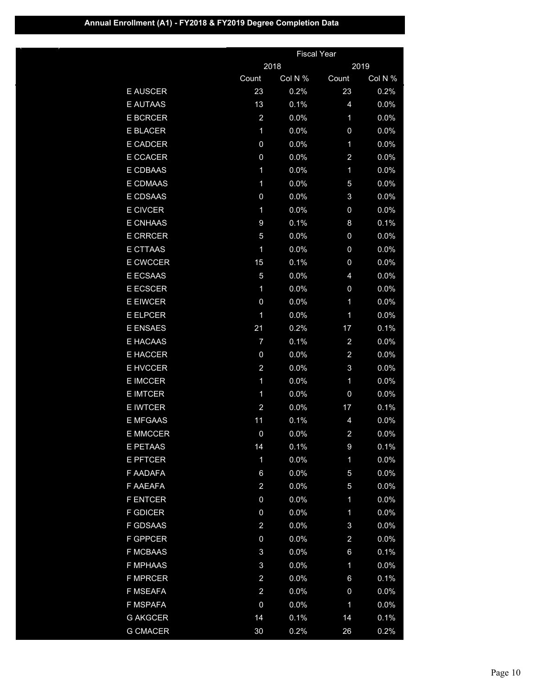(Continued)

|                 |                         | <b>Fiscal Year</b> |                         |         |  |
|-----------------|-------------------------|--------------------|-------------------------|---------|--|
|                 |                         | 2018               |                         | 2019    |  |
|                 | Count                   | Col N %            | Count                   | Col N % |  |
| <b>E AUSCER</b> | 23                      | 0.2%               | 23                      | 0.2%    |  |
| <b>E AUTAAS</b> | 13                      | 0.1%               | 4                       | 0.0%    |  |
| <b>E BCRCER</b> | $\overline{a}$          | 0.0%               | 1                       | 0.0%    |  |
| <b>E BLACER</b> | 1                       | 0.0%               | 0                       | 0.0%    |  |
| <b>E CADCER</b> | 0                       | 0.0%               | 1                       | 0.0%    |  |
| <b>E CCACER</b> | 0                       | 0.0%               | $\overline{\mathbf{c}}$ | 0.0%    |  |
| E CDBAAS        | $\mathbf 1$             | 0.0%               | 1                       | 0.0%    |  |
| E CDMAAS        | 1                       | 0.0%               | 5                       | 0.0%    |  |
| E CDSAAS        | 0                       | 0.0%               | 3                       | 0.0%    |  |
| <b>E CIVCER</b> | $\mathbf 1$             | 0.0%               | 0                       | 0.0%    |  |
| <b>E CNHAAS</b> | 9                       | 0.1%               | 8                       | 0.1%    |  |
| <b>E CRRCER</b> | 5                       | 0.0%               | 0                       | 0.0%    |  |
| <b>E CTTAAS</b> | 1                       | 0.0%               | 0                       | 0.0%    |  |
| <b>E CWCCER</b> | 15                      | 0.1%               | 0                       | 0.0%    |  |
| E ECSAAS        | 5                       | 0.0%               | 4                       | 0.0%    |  |
| <b>E ECSCER</b> | 1                       | 0.0%               | 0                       | 0.0%    |  |
| <b>E EIWCER</b> | 0                       | 0.0%               | 1                       | 0.0%    |  |
| <b>E ELPCER</b> | 1                       | 0.0%               | 1                       | 0.0%    |  |
| <b>E ENSAES</b> | 21                      | 0.2%               | 17                      | 0.1%    |  |
| E HACAAS        | 7                       | 0.1%               | $\overline{\mathbf{c}}$ | 0.0%    |  |
| <b>E HACCER</b> | 0                       | 0.0%               | $\overline{\mathbf{c}}$ | 0.0%    |  |
| <b>E HVCCER</b> | $\overline{\mathbf{c}}$ | 0.0%               | 3                       | 0.0%    |  |
| <b>E IMCCER</b> | $\mathbf 1$             | 0.0%               | 1                       | 0.0%    |  |
| <b>E IMTCER</b> | 1                       | 0.0%               | 0                       | 0.0%    |  |
| <b>E IWTCER</b> | $\overline{\mathbf{c}}$ | 0.0%               | 17                      | 0.1%    |  |
| <b>E MFGAAS</b> | 11                      | 0.1%               | 4                       | 0.0%    |  |
| <b>E MMCCER</b> | 0                       | 0.0%               | $\overline{\mathbf{c}}$ | 0.0%    |  |
| <u>E PETAAS</u> | 14                      | $0.1\%$            | 9                       | 0.1%    |  |
| <b>E PFTCER</b> | 1                       | 0.0%               | 1                       | 0.0%    |  |
| F AADAFA        | 6                       | 0.0%               | 5                       | 0.0%    |  |
| F AAEAFA        | $\overline{\mathbf{c}}$ | 0.0%               | 5                       | 0.0%    |  |
| <b>F ENTCER</b> | 0                       | 0.0%               | 1                       | 0.0%    |  |
| <b>F GDICER</b> | $\mathbf 0$             | 0.0%               | 1                       | 0.0%    |  |
| <b>F GDSAAS</b> | $\overline{\mathbf{c}}$ | 0.0%               | 3                       | 0.0%    |  |
| <b>F GPPCER</b> | 0                       | 0.0%               | $\overline{\mathbf{c}}$ | 0.0%    |  |
| <b>F MCBAAS</b> | 3                       | 0.0%               | 6                       | 0.1%    |  |
| <b>F MPHAAS</b> | 3                       | 0.0%               | 1                       | 0.0%    |  |
| <b>F MPRCER</b> | $\overline{\mathbf{c}}$ | 0.0%               | 6                       | 0.1%    |  |
| F MSEAFA        | $\overline{\mathbf{c}}$ | 0.0%               | 0                       | 0.0%    |  |
| F MSPAFA        | 0                       | 0.0%               | 1                       | 0.0%    |  |
| <b>G AKGCER</b> | 14                      | 0.1%               | 14                      | 0.1%    |  |
| <b>G CMACER</b> | 30                      | 0.2%               | 26                      | 0.2%    |  |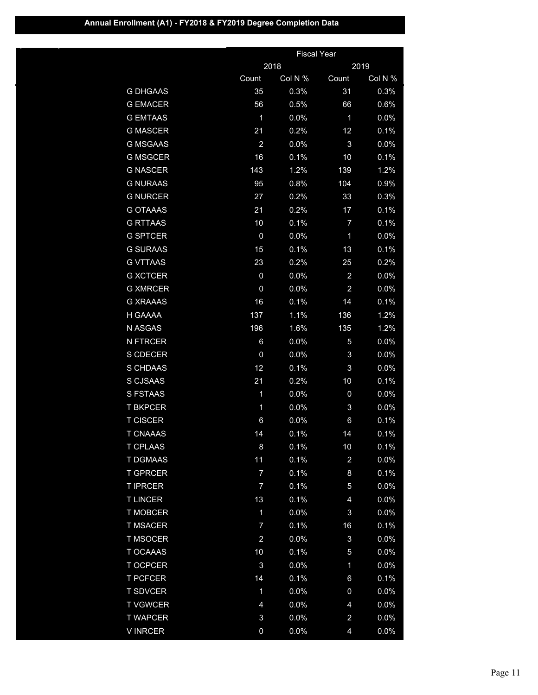(Continued)

|                 |                | <b>Fiscal Year</b> |                         |         |
|-----------------|----------------|--------------------|-------------------------|---------|
|                 |                | 2018               |                         | 2019    |
|                 | Count          | Col N %            | Count                   | Col N % |
| <b>G DHGAAS</b> | 35             | 0.3%               | 31                      | 0.3%    |
| <b>G EMACER</b> | 56             | 0.5%               | 66                      | 0.6%    |
| <b>G EMTAAS</b> | 1              | 0.0%               | 1                       | 0.0%    |
| <b>G MASCER</b> | 21             | 0.2%               | 12                      | 0.1%    |
| <b>G MSGAAS</b> | $\overline{a}$ | 0.0%               | 3                       | 0.0%    |
| <b>G MSGCER</b> | 16             | 0.1%               | 10                      | 0.1%    |
| <b>G NASCER</b> | 143            | 1.2%               | 139                     | 1.2%    |
| <b>G NURAAS</b> | 95             | 0.8%               | 104                     | 0.9%    |
| <b>G NURCER</b> | 27             | 0.2%               | 33                      | 0.3%    |
| <b>G OTAAAS</b> | 21             | 0.2%               | 17                      | 0.1%    |
| <b>G RTTAAS</b> | 10             | 0.1%               | 7                       | 0.1%    |
| <b>G SPTCER</b> | 0              | 0.0%               | 1                       | 0.0%    |
| <b>G SURAAS</b> | 15             | 0.1%               | 13                      | 0.1%    |
| <b>G VTTAAS</b> | 23             | 0.2%               | 25                      | 0.2%    |
| <b>G XCTCER</b> | $\overline{0}$ | 0.0%               | $\overline{a}$          | 0.0%    |
| <b>G XMRCER</b> | 0              | 0.0%               | $\overline{c}$          | 0.0%    |
| <b>G XRAAAS</b> | 16             | 0.1%               | 14                      | 0.1%    |
| H GAAAA         | 137            | 1.1%               | 136                     | 1.2%    |
| N ASGAS         | 196            | 1.6%               | 135                     | 1.2%    |
| <b>N FTRCER</b> | 6              | 0.0%               | 5                       | 0.0%    |
| S CDECER        | $\mathbf 0$    | 0.0%               | 3                       | 0.0%    |
| S CHDAAS        | 12             | 0.1%               | 3                       | 0.0%    |
| S CJSAAS        | 21             | 0.2%               | 10                      | 0.1%    |
| <b>S FSTAAS</b> | 1              | 0.0%               | 0                       | 0.0%    |
| <b>T BKPCER</b> | 1              | 0.0%               | 3                       | 0.0%    |
| <b>T CISCER</b> | 6              | 0.0%               | 6                       | 0.1%    |
| <b>T CNAAAS</b> | 14             | 0.1%               | 14                      | 0.1%    |
| I CPLAAS        | 8              | 0.1%               | 10                      | 0.1%    |
| <b>T DGMAAS</b> | 11             | 0.1%               | $\overline{\mathbf{c}}$ | 0.0%    |
| <b>T GPRCER</b> | 7              | 0.1%               | 8                       | 0.1%    |
| <b>T IPRCER</b> | 7              | 0.1%               | 5                       | 0.0%    |
| <b>TLINCER</b>  | 13             | 0.1%               | 4                       | 0.0%    |
| <b>T MOBCER</b> | $\mathbf 1$    | 0.0%               | 3                       | 0.0%    |
| <b>T MSACER</b> | 7              | 0.1%               | 16                      | 0.1%    |
| <b>T MSOCER</b> | $\overline{a}$ | 0.0%               | 3                       | 0.0%    |
| <b>T OCAAAS</b> | 10             | 0.1%               | 5                       | 0.0%    |
| <b>T OCPCER</b> | 3              | 0.0%               | 1                       | 0.0%    |
| <b>T PCFCER</b> | 14             | 0.1%               | 6                       | 0.1%    |
| <b>T SDVCER</b> | 1              | 0.0%               | 0                       | 0.0%    |
| <b>T VGWCER</b> | 4              | 0.0%               | 4                       | 0.0%    |
| <b>T WAPCER</b> | 3              | 0.0%               | $\overline{\mathbf{c}}$ | 0.0%    |
| <b>VINRCER</b>  | 0              | 0.0%               | 4                       | 0.0%    |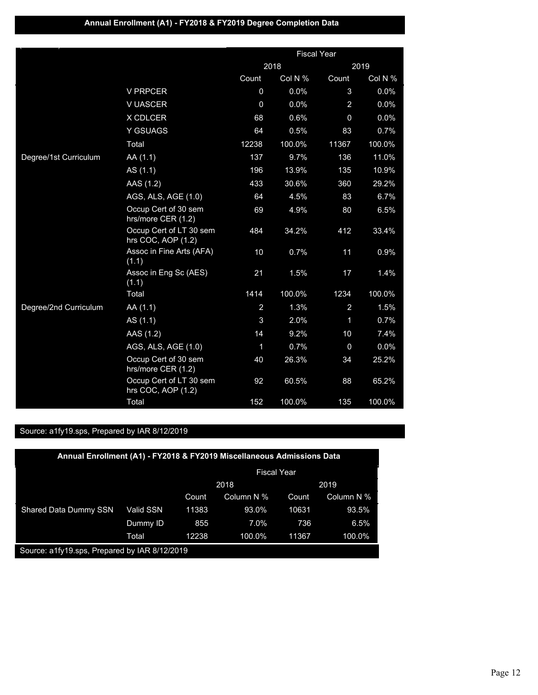## **Annual Enrollment (A1) - FY2018 & FY2019 Degree Completion Data**

|                       |                                               |                | <b>Fiscal Year</b> |                |         |
|-----------------------|-----------------------------------------------|----------------|--------------------|----------------|---------|
|                       |                                               |                | 2018               |                | 2019    |
|                       |                                               | Count          | Col N %            | Count          | Col N % |
|                       | <b>V PRPCER</b>                               | 0              | 0.0%               | 3              | 0.0%    |
|                       | V UASCER                                      | $\mathbf 0$    | 0.0%               | $\overline{2}$ | 0.0%    |
|                       | X CDLCER                                      | 68             | 0.6%               | $\Omega$       | 0.0%    |
|                       | Y GSUAGS                                      | 64             | 0.5%               | 83             | 0.7%    |
|                       | Total                                         | 12238          | 100.0%             | 11367          | 100.0%  |
| Degree/1st Curriculum | AA (1.1)                                      | 137            | 9.7%               | 136            | 11.0%   |
|                       | AS (1.1)                                      | 196            | 13.9%              | 135            | 10.9%   |
|                       | AAS (1.2)                                     | 433            | 30.6%              | 360            | 29.2%   |
|                       | AGS, ALS, AGE (1.0)                           | 64             | 4.5%               | 83             | 6.7%    |
|                       | Occup Cert of 30 sem<br>hrs/more CER (1.2)    | 69             | 4.9%               | 80             | 6.5%    |
|                       | Occup Cert of LT 30 sem<br>hrs COC, AOP (1.2) | 484            | 34.2%              | 412            | 33.4%   |
|                       | Assoc in Fine Arts (AFA)<br>(1.1)             | 10             | 0.7%               | 11             | 0.9%    |
|                       | Assoc in Eng Sc (AES)<br>(1.1)                | 21             | 1.5%               | 17             | 1.4%    |
|                       | Total                                         | 1414           | 100.0%             | 1234           | 100.0%  |
| Degree/2nd Curriculum | AA (1.1)                                      | $\overline{a}$ | 1.3%               | $\overline{a}$ | 1.5%    |
|                       | AS (1.1)                                      | 3              | 2.0%               | $\mathbf{1}$   | 0.7%    |
|                       | AAS (1.2)                                     | 14             | 9.2%               | 10             | 7.4%    |
|                       | AGS, ALS, AGE (1.0)                           | 1              | 0.7%               | 0              | 0.0%    |
|                       | Occup Cert of 30 sem<br>hrs/more CER (1.2)    | 40             | 26.3%              | 34             | 25.2%   |
|                       | Occup Cert of LT 30 sem<br>hrs COC, AOP (1.2) | 92             | 60.5%              | 88             | 65.2%   |
|                       | Total                                         | 152            | 100.0%             | 135            | 100.0%  |

| Annual Enrollment (A1) - FY2018 & FY2019 Miscellaneous Admissions Data |           |                    |            |       |            |  |
|------------------------------------------------------------------------|-----------|--------------------|------------|-------|------------|--|
|                                                                        |           | <b>Fiscal Year</b> |            |       |            |  |
|                                                                        |           | 2018               |            | 2019  |            |  |
|                                                                        |           | Count              | Column N % | Count | Column N % |  |
| <b>Shared Data Dummy SSN</b>                                           | Valid SSN | 11383              | 93.0%      | 10631 | 93.5%      |  |
|                                                                        | Dummy ID  | 855                | 7.0%       | 736   | 6.5%       |  |
|                                                                        | Total     | 12238              | 100.0%     | 11367 | 100.0%     |  |
| Source: a1fy19.sps, Prepared by IAR 8/12/2019                          |           |                    |            |       |            |  |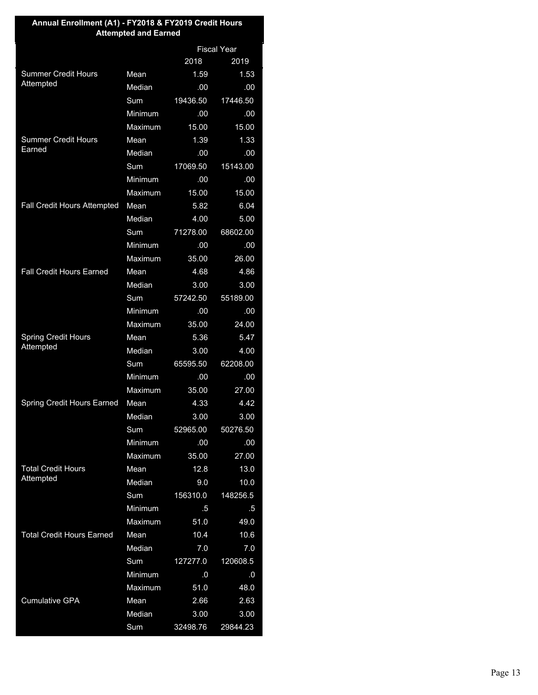| Annual Enrollment (A1) - FY2018 & FY2019 Credit Hours<br><b>Attempted and Earned</b> |         |                    |          |  |  |
|--------------------------------------------------------------------------------------|---------|--------------------|----------|--|--|
|                                                                                      |         | <b>Fiscal Year</b> |          |  |  |
|                                                                                      |         | 2018               | 2019     |  |  |
| <b>Summer Credit Hours</b>                                                           | Mean    | 1.59               | 1.53     |  |  |
| Attempted                                                                            | Median  | .00                | .00      |  |  |
|                                                                                      | Sum     | 19436.50           | 17446.50 |  |  |
|                                                                                      | Minimum | .00                | .00      |  |  |
|                                                                                      | Maximum | 15.00              | 15.00    |  |  |
| <b>Summer Credit Hours</b>                                                           | Mean    | 1.39               | 1.33     |  |  |
| Earned                                                                               | Median  | .00                | .00      |  |  |
|                                                                                      | Sum     | 17069.50           | 15143.00 |  |  |
|                                                                                      | Minimum | .00                | .00      |  |  |
|                                                                                      | Maximum | 15.00              | 15.00    |  |  |
| Fall Credit Hours Attempted                                                          | Mean    | 5.82               | 6.04     |  |  |
|                                                                                      | Median  | 4.00               | 5.00     |  |  |
|                                                                                      | Sum     | 71278.00           | 68602.00 |  |  |
|                                                                                      | Minimum | .00                | .00      |  |  |
|                                                                                      | Maximum | 35.00              | 26.00    |  |  |
| <b>Fall Credit Hours Earned</b>                                                      | Mean    | 4.68               | 4.86     |  |  |
|                                                                                      | Median  | 3.00               | 3.00     |  |  |
|                                                                                      | Sum     | 57242.50           | 55189.00 |  |  |
|                                                                                      | Minimum | .00                | .00      |  |  |
|                                                                                      | Maximum | 35.00              | 24.00    |  |  |
| <b>Spring Credit Hours</b>                                                           | Mean    | 5.36               | 5.47     |  |  |
| Attempted                                                                            | Median  | 3.00               | 4.00     |  |  |
|                                                                                      | Sum     | 65595.50           | 62208.00 |  |  |
|                                                                                      | Minimum | .00                | .00      |  |  |
|                                                                                      | Maximum | 35.00              | 27.00    |  |  |
| <b>Spring Credit Hours Earned</b>                                                    | Mean    | 4.33               | 4.42     |  |  |
|                                                                                      | Median  | 3.00               | 3.00     |  |  |
|                                                                                      | Sum     | 52965.00           | 50276.50 |  |  |
|                                                                                      | Minimum | .00                | .00      |  |  |
|                                                                                      | Maximum | 35.00              | 27.00    |  |  |
| <b>Total Credit Hours</b><br>Attempted                                               | Mean    | 12.8               | 13.0     |  |  |
|                                                                                      | Median  | 9.0                | 10.0     |  |  |
|                                                                                      | Sum     | 156310.0           | 148256.5 |  |  |
|                                                                                      | Minimum | $.5\,$             | .5       |  |  |
|                                                                                      | Maximum | 51.0               | 49.0     |  |  |
| <b>Total Credit Hours Earned</b>                                                     | Mean    | 10.4               | 10.6     |  |  |
|                                                                                      | Median  | 7.0                | 7.0      |  |  |
|                                                                                      | Sum     | 127277.0           | 120608.5 |  |  |
|                                                                                      | Minimum | .0                 | 0.0      |  |  |
|                                                                                      | Maximum | 51.0               | 48.0     |  |  |
| <b>Cumulative GPA</b>                                                                | Mean    | 2.66               | 2.63     |  |  |
|                                                                                      | Median  | 3.00               | 3.00     |  |  |
|                                                                                      | Sum     | 32498.76           | 29844.23 |  |  |